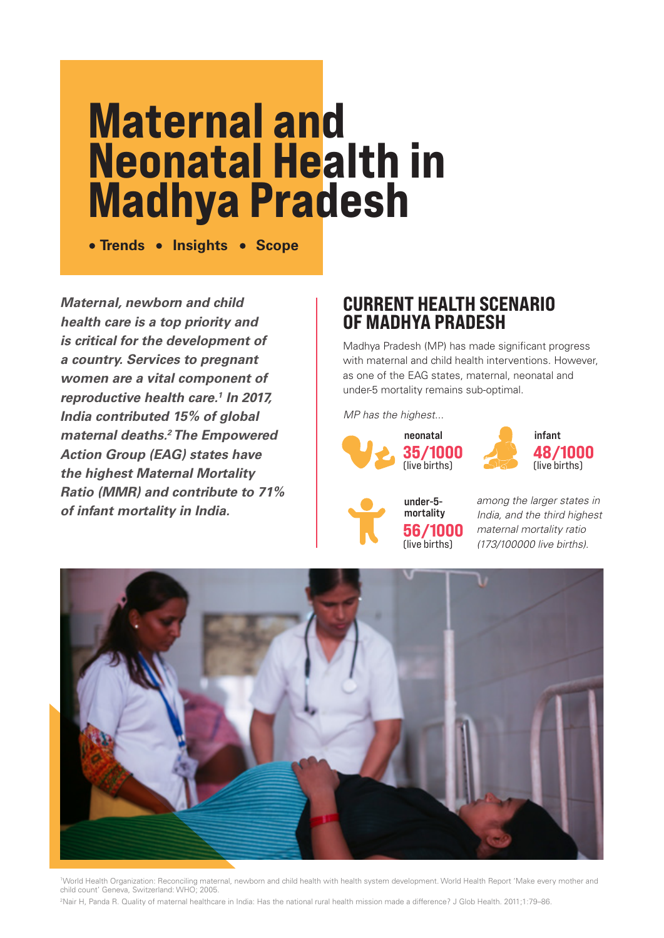# **Maternal and Neonatal Health in Madhya Pradesh**

**• Trends • Insights • Scope** 

**Maternal, newborn and child health care is a top priority and is critical for the development of a country. Services to pregnant women are a vital component of reproductive health care.<sup>1</sup> In 2017, India contributed 15% of global maternal deaths.<sup>2</sup> The Empowered Action Group (EAG) states have the highest Maternal Mortality Ratio (MMR) and contribute to 71% of infant mortality in India.**

# **CURRENT HEALTH SCENARIO OF MADHYA PRADESH**

Madhya Pradesh (MP) has made significant progress with maternal and child health interventions. However, as one of the EAG states, maternal, neonatal and under-5 mortality remains sub-optimal.

MP has the highest...







among the larger states in India, and the third highest maternal mortality ratio (173/100000 live births).



1 World Health Organization: Reconciling maternal, newborn and child health with health system development. World Health Report 'Make every mother and child count' Geneva, Switzerland: WHO; 2005.

2 Nair H, Panda R. Quality of maternal healthcare in India: Has the national rural health mission made a difference? J Glob Health. 2011;1:79–86.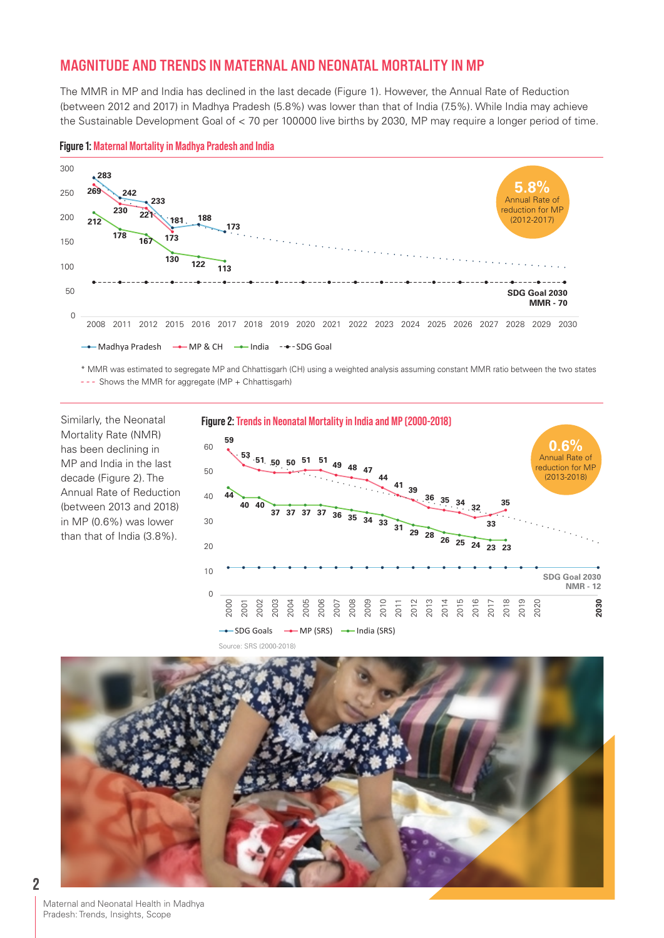## **MAGNITUDE AND TRENDS IN MATERNAL AND NEONATAL MORTALITY IN MP**

The MMR in MP and India has declined in the last decade (Figure 1). However, the Annual Rate of Reduction (between 2012 and 2017) in Madhya Pradesh (5.8%) was lower than that of India (7.5%). While India may achieve the Sustainable Development Goal of < 70 per 100000 live births by 2030, MP may require a longer period of time.



#### **Figure 1: Maternal Mortality in Madhya Pradesh and India**

\* MMR was estimated to segregate MP and Chhattisgarh (CH) using a weighted analysis assuming constant MMR ratio between the two states *- - -* Shows the MMR for aggregate (MP + Chhattisgarh)

Similarly, the Neonatal Mortality Rate (NMR) has been declining in MP and India in the last decade (Figure 2). The Annual Rate of Reduction (between 2013 and 2018) in MP (0.6%) was lower than that of India (3.8%).



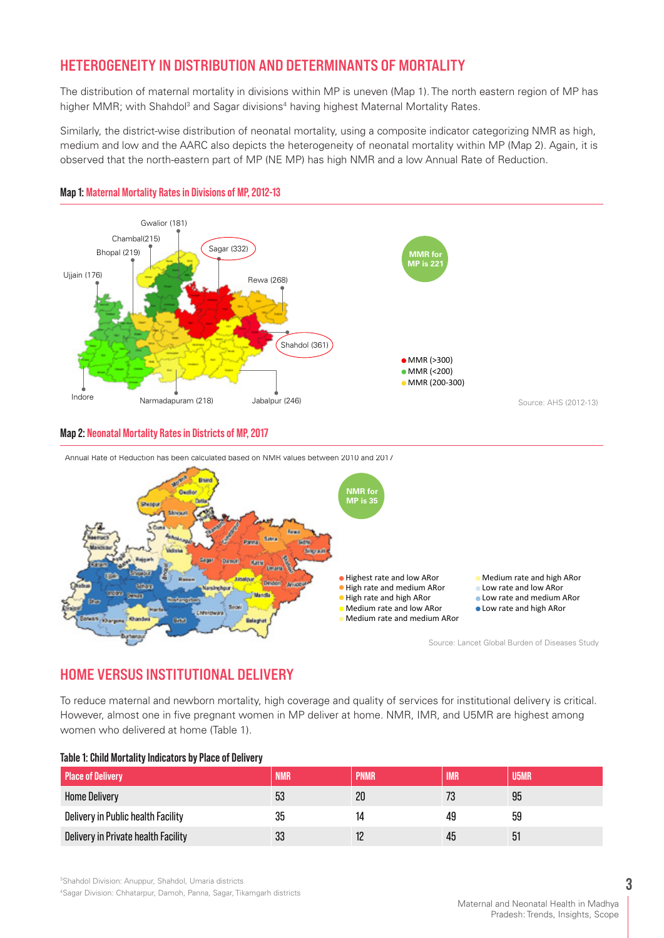## **HETEROGENEITY IN DISTRIBUTION AND DETERMINANTS OF MORTALITY**

The distribution of maternal mortality in divisions within MP is uneven (Map 1). The north eastern region of MP has higher MMR; with Shahdol<sup>3</sup> and Sagar divisions<sup>4</sup> having highest Maternal Mortality Rates.

Similarly, the district-wise distribution of neonatal mortality, using a composite indicator categorizing NMR as high, medium and low and the AARC also depicts the heterogeneity of neonatal mortality within MP (Map 2). Again, it is observed that the north-eastern part of MP (NE MP) has high NMR and a low Annual Rate of Reduction.



## **Map 1: Maternal Mortality Rates in Divisions of MP, 2012-13**

### **Map 2: Neonatal Mortality Rates in Districts of MP, 2017**



Annual Rate of Reduction has been calculated based on NMR values between 2010 and 2017

# **HOME VERSUS INSTITUTIONAL DELIVERY**

To reduce maternal and newborn mortality, high coverage and quality of services for institutional delivery is critical. However, almost one in five pregnant women in MP deliver at home. NMR, IMR, and U5MR are highest among women who delivered at home (Table 1).

| Table 1: Child Mortality Indicators by Place of Delivery |  |  |
|----------------------------------------------------------|--|--|
|----------------------------------------------------------|--|--|

| <b>Place of Delivery</b>            | <b>NMR</b> | <b>PNMR</b> | <b>IMR</b> | U5MR |
|-------------------------------------|------------|-------------|------------|------|
| <b>Home Delivery</b>                | 53         | 20          | 73         | 95   |
| Delivery in Public health Facility  | 35         | 14          | 49         | 59   |
| Delivery in Private health Facility | 33         |             | 45         |      |

3 Shahdol Division: Anuppur, Shahdol, Umaria districts 4 Sagar Division: Chhatarpur, Damoh, Panna, Sagar, Tikamgarh districts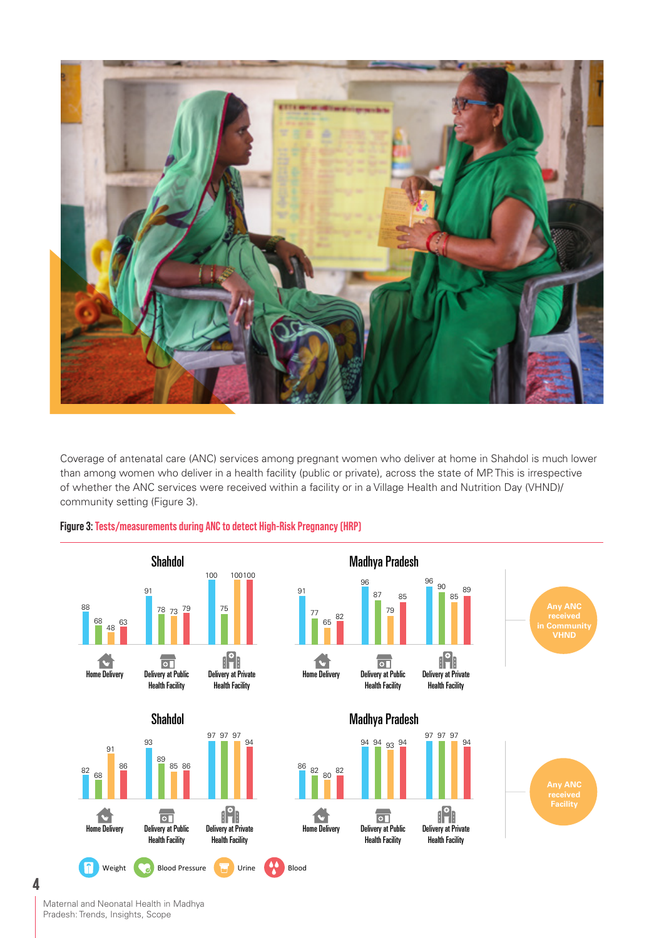

Coverage of antenatal care (ANC) services among pregnant women who deliver at home in Shahdol is much lower than among women who deliver in a health facility (public or private), across the state of MP. This is irrespective of whether the ANC services were received within a facility or in a Village Health and Nutrition Day (VHND)/ community setting (Figure 3).



## **Figure 3: Tests/measurements during ANC to detect High-Risk Pregnancy (HRP)**

Maternal and Neonatal Health in Madhya Pradesh: Trends, Insights, Scope

**4**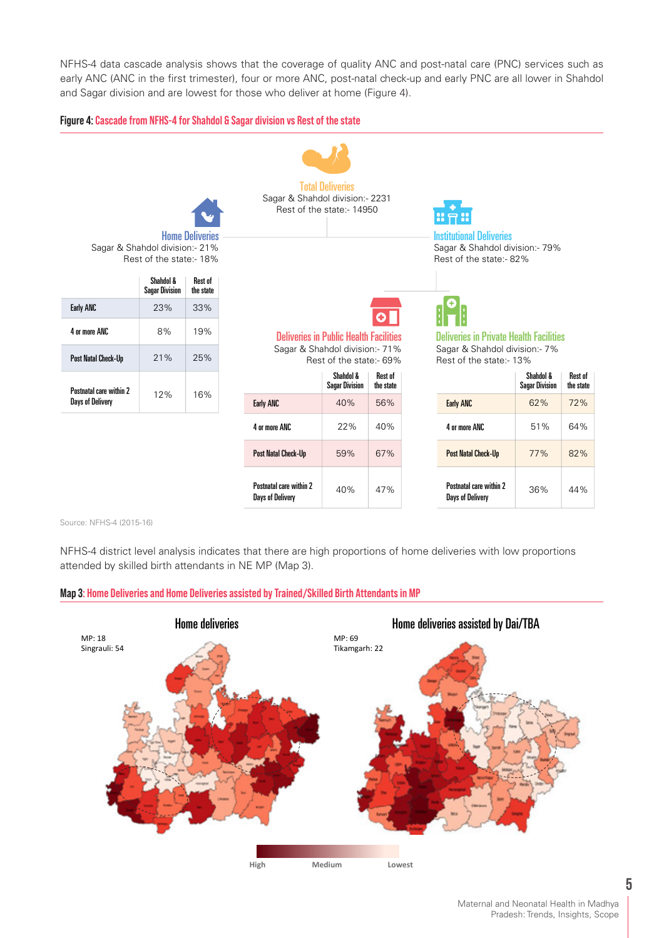NFHS-4 data cascade analysis shows that the coverage of quality ANC and post-natal care (PNC) services such as early ANC (ANC in the first trimester), four or more ANC, post-natal check-up and early PNC are all lower in Shahdol and Sagar division and are lowest for those who deliver at home (Figure 4).

#### **Figure 4: Cascade from NFHS-4 for Shahdol & Sagar division vs Rest of the state**



Source: NFHS-4 (2015-16)

NFHS-4 district level analysis indicates that there are high proportions of home deliveries with low proportions attended by skilled birth attendants in NE MP (Map 3).

#### **Map 3: Home Deliveries and Home Deliveries assisted by Trained/Skilled Birth Attendants in MP**

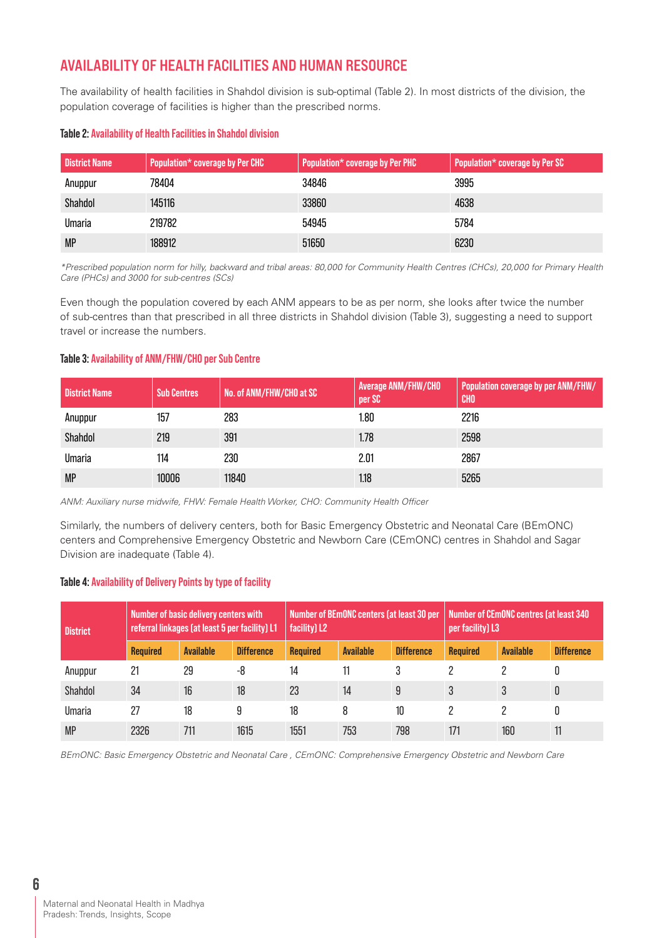## **AVAILABILITY OF HEALTH FACILITIES AND HUMAN RESOURCE**

The availability of health facilities in Shahdol division is sub-optimal (Table 2). In most districts of the division, the population coverage of facilities is higher than the prescribed norms.

#### **Table 2: Availability of Health Facilities in Shahdol division**

| <b>District Name</b> | Population* coverage by Per CHC | Population* coverage by Per PHC | Population* coverage by Per SC |
|----------------------|---------------------------------|---------------------------------|--------------------------------|
| Anuppur              | 78404                           | 34846                           | 3995                           |
| Shahdol              | 145116                          | 33860                           | 4638                           |
| Umaria               | 219782                          | 54945                           | 5784                           |
| <b>MP</b>            | 188912                          | 51650                           | 6230                           |

\*Prescribed population norm for hilly, backward and tribal areas: 80,000 for Community Health Centres (CHCs), 20,000 for Primary Health Care (PHCs) and 3000 for sub-centres (SCs)

Even though the population covered by each ANM appears to be as per norm, she looks after twice the number of sub-centres than that prescribed in all three districts in Shahdol division (Table 3), suggesting a need to support travel or increase the numbers.

#### **Table 3: Availability of ANM/FHW/CHO per Sub Centre**

| <b>District Name</b> | <b>Sub Centres</b> | No. of ANM/FHW/CHO at SC | <b>Average ANM/FHW/CHO</b><br>per SC | Population coverage by per ANM/FHW/<br><b>CHO</b> |
|----------------------|--------------------|--------------------------|--------------------------------------|---------------------------------------------------|
| Anuppur              | 157                | 283                      | 1.80                                 | 2216                                              |
| Shahdol              | 219                | 391                      | 1.78                                 | 2598                                              |
| Umaria               | 114                | 230                      | 2.01                                 | 2867                                              |
| <b>MP</b>            | 10006              | 11840                    | 1.18                                 | 5265                                              |

ANM: Auxiliary nurse midwife, FHW: Female Health Worker, CHO: Community Health Officer

Similarly, the numbers of delivery centers, both for Basic Emergency Obstetric and Neonatal Care (BEmONC) centers and Comprehensive Emergency Obstetric and Newborn Care (CEmONC) centres in Shahdol and Sagar Division are inadequate (Table 4).

#### **Table 4: Availability of Delivery Points by type of facility**

| <b>District</b> | Number of basic delivery centers with<br>referral linkages (at least 5 per facility) L1 |                  |                   | Number of BEmONC centers (at least 30 per<br>facility) L2 |                  |                   | Number of CEmONC centres (at least 340<br>per facility) L3 |                  |                   |
|-----------------|-----------------------------------------------------------------------------------------|------------------|-------------------|-----------------------------------------------------------|------------------|-------------------|------------------------------------------------------------|------------------|-------------------|
|                 | <b>Required</b>                                                                         | <b>Available</b> | <b>Difference</b> | <b>Required</b>                                           | <b>Available</b> | <b>Difference</b> | <b>Required</b>                                            | <b>Available</b> | <b>Difference</b> |
| Anuppur         | 21                                                                                      | 29               | -8                | 14                                                        |                  | 3                 |                                                            |                  |                   |
| Shahdol         | 34                                                                                      | 16               | 18                | 23                                                        | 14               | 9                 |                                                            |                  | 0                 |
| Umaria          | 27                                                                                      | 18               | 9                 | 18                                                        | 8                | 10                |                                                            |                  |                   |
| <b>MP</b>       | 2326                                                                                    | 711              | 1615              | 1551                                                      | 753              | 798               | 171                                                        | 160              | 11                |

BEmONC: Basic Emergency Obstetric and Neonatal Care , CEmONC: Comprehensive Emergency Obstetric and Newborn Care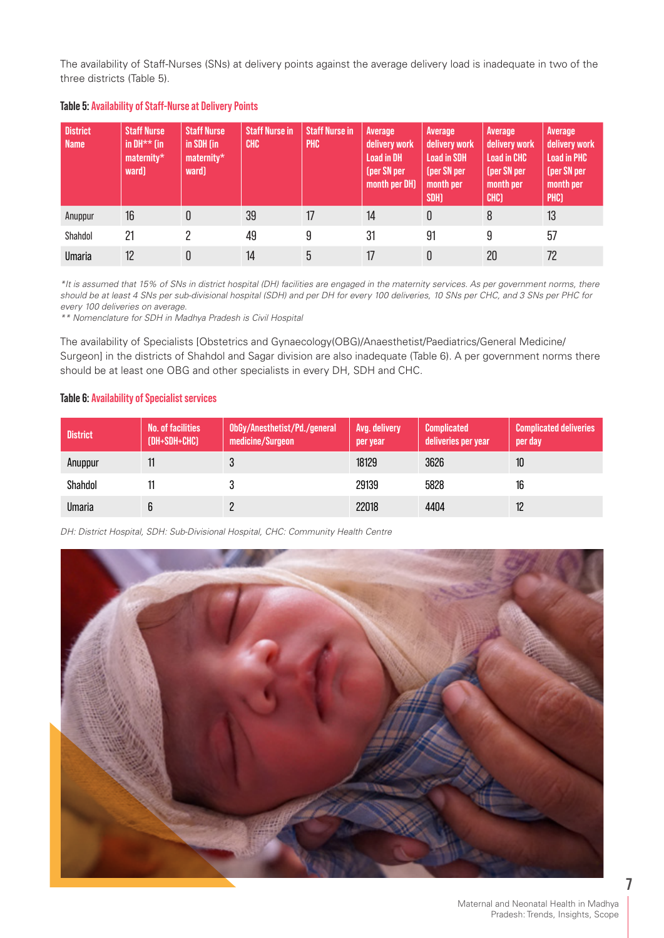The availability of Staff-Nurses (SNs) at delivery points against the average delivery load is inadequate in two of the three districts (Table 5).

| <b>District</b><br><b>Name</b> | <b>Staff Nurse</b><br>in DH $**$ (in<br>$\mathsf{maternity}^{\star}$<br>ward) | <b>Staff Nurse</b><br>in SDH (in<br>$\mathsf{materinity}^{\star}$<br>ward) | <b>Staff Nurse in</b><br><b>CHC</b> | <b>Staff Nurse in</b><br><b>PHC</b> | Average<br>delivery work<br><b>Load in DH</b><br>(per SN per<br>month per DH) | Average<br>delivery work<br><b>Load in SDH</b><br>(per SN per<br>month per<br>SDH <sub>]</sub> | Average<br>delivery work<br><b>Load in CHC</b><br>(per SN per<br>month per<br>CHC) | Average<br>delivery work<br><b>Load in PHC</b><br>(per SN per<br>month per<br>PHC) |
|--------------------------------|-------------------------------------------------------------------------------|----------------------------------------------------------------------------|-------------------------------------|-------------------------------------|-------------------------------------------------------------------------------|------------------------------------------------------------------------------------------------|------------------------------------------------------------------------------------|------------------------------------------------------------------------------------|
| Anuppur                        | 16                                                                            | 0                                                                          | 39                                  | 17                                  | 14                                                                            | 0                                                                                              | 8                                                                                  | 13                                                                                 |
| Shahdol                        | 21                                                                            |                                                                            | 49                                  | 9                                   | 31                                                                            | 91                                                                                             | 9                                                                                  | 57                                                                                 |
| <b>Umaria</b>                  | 12                                                                            | 0                                                                          | 14                                  | 5                                   | 17                                                                            | 0                                                                                              | 20                                                                                 | 72                                                                                 |

#### **Table 5: Availability of Staff-Nurse at Delivery Points**

\*It is assumed that 15% of SNs in district hospital (DH) facilities are engaged in the maternity services. As per government norms, there should be at least 4 SNs per sub-divisional hospital (SDH) and per DH for every 100 deliveries, 10 SNs per CHC, and 3 SNs per PHC for every 100 deliveries on average.

\*\* Nomenclature for SDH in Madhya Pradesh is Civil Hospital

The availability of Specialists [Obstetrics and Gynaecology(OBG)/Anaesthetist/Paediatrics/General Medicine/ Surgeon] in the districts of Shahdol and Sagar division are also inadequate (Table 6). A per government norms there should be at least one OBG and other specialists in every DH, SDH and CHC.

#### **Table 6: Availability of Specialist services**

| <b>District</b> | No. of facilities<br>(DH+SDH+CHC) | ObGy/Anesthetist/Pd./general<br>medicine/Surgeon | Avg. delivery<br>per year | <b>Complicated</b><br>deliveries per year | <b>Complicated deliveries</b><br>per day |
|-----------------|-----------------------------------|--------------------------------------------------|---------------------------|-------------------------------------------|------------------------------------------|
| Anuppur         |                                   |                                                  | 18129                     | 3626                                      | 10                                       |
| Shahdol         |                                   |                                                  | 29139                     | 5828                                      | 16                                       |
| <b>Umaria</b>   |                                   |                                                  | 22018                     | 4404                                      | 12                                       |

DH: District Hospital, SDH: Sub-Divisional Hospital, CHC: Community Health Centre